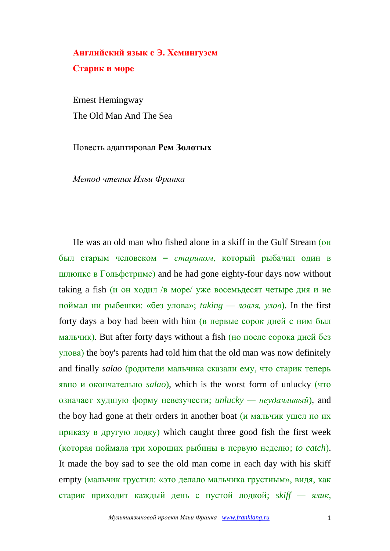## **Английский язык с Э. Хемингуэем Старик и море**

Ernest Hemingway The Old Man And The Sea

Повесть адаптировал **Рем Золотых**

*Метод чтения Ильи Франка*

He was an old man who fished alone in a skiff in the Gulf Stream (он был старым человеком = *стариком*, который рыбачил один в шлюпке в Гольфстриме) and he had gone eighty-four days now without taking a fish (и он ходил /в море/ уже восемьдесят четыре дня и не поймал ни рыбешки: «без улова»; *taking — ловля, улов*). In the first forty days a boy had been with him (в первые сорок дней с ним был мальчик). But after forty days without a fish (но после сорока дней без улова) the boy's parents had told him that the old man was now definitely and finally *salao* (родители мальчика сказали ему, что старик теперь явно и окончательно *salao*), which is the worst form of unlucky (что означает худшую форму невезучести; *unlucky — неудачливый*), and the boy had gone at their orders in another boat (и мальчик ушел по их приказу в другую лодку) which caught three good fish the first week (которая поймала три хороших рыбины в первую неделю; *to catch*). It made the boy sad to see the old man come in each day with his skiff empty (мальчик грустил: «это делало мальчика грустным», видя, как старик приходит каждый день с пустой лодкой; *skiff — ялик,*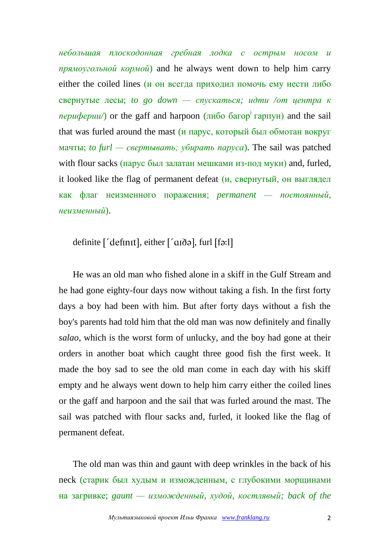*небольшая плоскодонная гребная лодка с острым носом и прямоугольной кормой*) and he always went down to help him carry either the coiled lines (и он всегда приходил помочь ему нести либо свернутые лесы; *to go down — спускаться; идти /от центра к периферии* $\ell$ ) or the gaff and harpoon (либо багор<sup>i</sup> гарпун) and the sail that was furled around the mast  $(u \text{ napyc}, \text{korophi}$  был обмотан вокруг мачты; *to furl — свертывать; убирать паруса*). The sail was patched with flour sacks (парус был залатан мешками из-под муки) and, furled, it looked like the flag of permanent defeat (и, свернутый, он выглядел как флаг неизменного поражения; *permanent — постоянный, неизменный*).

definite ['definit], either ['aidə], furl [fə:l]

He was an old man who fished alone in a skiff in the Gulf Stream and he had gone eighty-four days now without taking a fish. In the first forty days a boy had been with him. But after forty days without a fish the boy's parents had told him that the old man was now definitely and finally *salao*, which is the worst form of unlucky, and the boy had gone at their orders in another boat which caught three good fish the first week. It made the boy sad to see the old man come in each day with his skiff empty and he always went down to help him carry either the coiled lines or the gaff and harpoon and the sail that was furled around the mast. The sail was patched with flour sacks and, furled, it looked like the flag of permanent defeat.

The old man was thin and gaunt with deep wrinkles in the back of his neck (старик был худым и изможденным, с глубокими морщинами на загривке; *gaunt — изможденный, худой, костлявый; back of the*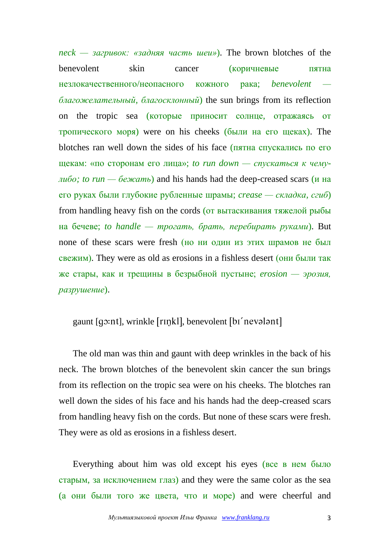*neck — загривок: «задняя часть шеи»*). The brown blotches of the benevolent skin cancer (коричневые пятна незлокачественного/неопасного кожного рака; *benevolent благожелательный, благосклонный*) the sun brings from its reflection on the tropic sea (которые приносит солнце, отражаясь от тропического моря) were on his cheeks (были на его щеках). The blotches ran well down the sides of his face (пятна спускались по его щекам: «по сторонам его лица»; *to run down — спускаться к чемулибо; to run — бежать*) and his hands had the deep-creased scars (и на его руках были глубокие рубленные шрамы; *crease — складка, сгиб*) from handling heavy fish on the cords (от вытаскивания тяжелой рыбы на бечеве; *to handle — трогать, брать, перебирать руками*). But none of these scars were fresh (но ни один из этих шрамов не был свежим). They were as old as erosions in a fishless desert (они были так же стары, как и трещины в безрыбной пустыне; *erosion — эрозия, разрушение*).

gaunt [go:nt], wrinkle [rɪŋkl], benevolent [bɪ'nevələnt]

The old man was thin and gaunt with deep wrinkles in the back of his neck. The brown blotches of the benevolent skin cancer the sun brings from its reflection on the tropic sea were on his cheeks. The blotches ran well down the sides of his face and his hands had the deep-creased scars from handling heavy fish on the cords. But none of these scars were fresh. They were as old as erosions in a fishless desert.

Everything about him was old except his eyes (все в нем было старым, за исключением глаз) and they were the same color as the sea (а они были того же цвета, что и море) and were cheerful and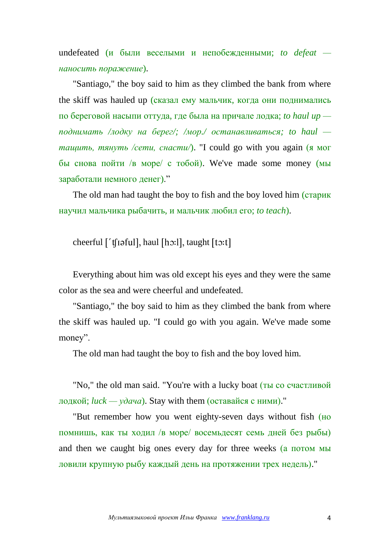undefeated (и были веселыми и непобежденными; *to defeat наносить поражение*).

"Santiago," the boy said to him as they climbed the bank from where the skiff was hauled up (сказал ему мальчик, когда они поднимались по береговой насыпи оттуда, где была на причале лодка; *to haul up поднимать /лодку на берег/; /мор./ останавливаться; to haul тащить, тянуть /сети, снасти/*). "I could go with you again (я мог бы снова пойти /в море/ с тобой). We've made some money (мы заработали немного денег)."

The old man had taught the boy to fish and the boy loved him (*старик*) научил мальчика рыбачить, и мальчик любил его; *to teach*).

cheerful [' $tf$ [arro qraded], haul [ho:1], taught [to:t]

Everything about him was old except his eyes and they were the same color as the sea and were cheerful and undefeated.

"Santiago," the boy said to him as they climbed the bank from where the skiff was hauled up. "I could go with you again. We've made some money".

The old man had taught the boy to fish and the boy loved him.

"No," the old man said. "You're with a lucky boat (ты со счастливой лодкой;  $luck - ydaua$ ). Stay with them (оставайся с ними)."

"But remember how you went eighty-seven days without fish (но помнишь, как ты ходил /в море/ восемьдесят семь дней без рыбы) and then we caught big ones every day for three weeks (а потом мы ловили крупную рыбу каждый день на протяжении трех недель)."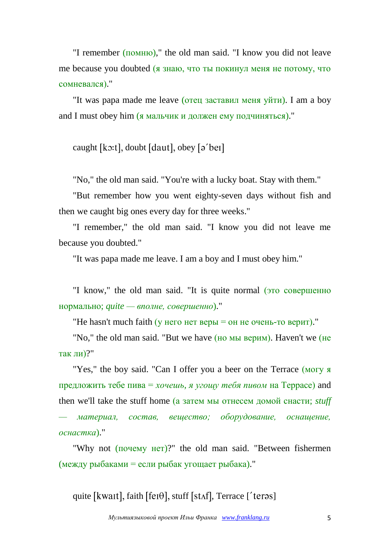"I remember (помню)," the old man said. "I know you did not leave me because you doubted (я знаю, что ты покинул меня не потому, что сомневался)."

"It was papa made me leave (отец заставил меня уйти). I am a boy and I must obey him (я мальчик и должен ему подчиняться)."

caught [ $k$ o:t], doubt [daut], obey [ $\sigma$ 'bei]

"No," the old man said. "You're with a lucky boat. Stay with them."

"But remember how you went eighty-seven days without fish and then we caught big ones every day for three weeks."

"I remember," the old man said. "I know you did not leave me because you doubted."

"It was papa made me leave. I am a boy and I must obey him."

"I know," the old man said. "It is quite normal (это совершенно нормально; *quite — вполне, совершенно*)."

"He hasn't much faith (у него нет веры = он не очень-то верит)."

"No," the old man said. "But we have (но мы верим). Haven't we (не так ли)?"

"Yes," the boy said. "Can I offer you a beer on the Terrace (могу я предложить тебе пива = *хочешь, я угощу тебя пивом* на Террасе) and then we'll take the stuff home (а затем мы отнесем домой снасти; *stuff — материал, состав, вещество; оборудование, оснащение, оснастка*)."

"Why not (почему нет)?" the old man said. "Between fishermen (между рыбаками = если рыбак угощает рыбака)."

quite [kwait], faith [fei $\theta$ ], stuff [st $\Lambda$ f], Terrace ['teras]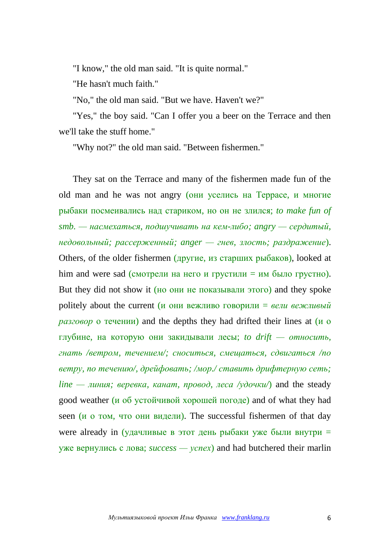"I know," the old man said. "It is quite normal."

"He hasn't much faith."

"No," the old man said. "But we have. Haven't we?"

"Yes," the boy said. "Can I offer you a beer on the Terrace and then we'll take the stuff home."

"Why not?" the old man said. "Between fishermen."

They sat on the Terrace and many of the fishermen made fun of the old man and he was not angry (они уселись на Террасе, и многие рыбаки посмеивались над стариком, но он не злился; *to make fun of smb. — насмехаться, подшучивать на кем-либо; angry — сердитый, недовольный; рассерженный; anger — гнев, злость; раздражение*). Others, of the older fishermen (другие, из старших рыбаков), looked at him and were sad (смотрели на него и грустили = им было грустно). But they did not show it (но они не показывали этого) and they spoke politely about the current (и они вежливо говорили = *вели вежливый разговор* о течении) and the depths they had drifted their lines at (и о глубине, на которую они закидывали лесы; *to drift — относить, гнать /ветром, течением/; сноситься, смещаться, сдвигаться /по ветру, по течению/, дрейфовать; /мор./ ставить дрифтерную сеть; line — линия; веревка, канат, провод, леса /удочки/*) and the steady good weather (и об устойчивой хорошей погоде) and of what they had seen (и о том, что они видели). The successful fishermen of that day were already in (удачливые в этот день рыбаки уже были внутри = уже вернулись с лова; *success — успех*) and had butchered their marlin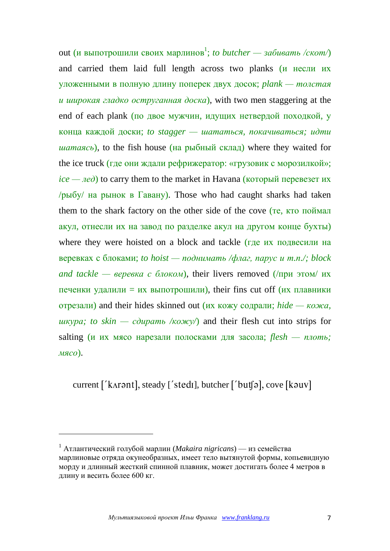out (и выпотрошили своих марлинов<sup>1</sup>; *to butcher — забивать /скот/*) and carried them laid full length across two planks (и несли их уложенными в полную длину поперек двух досок; *plank — толстая и широкая гладко оструганная доска*), with two men staggering at the end of each plank (по двое мужчин, идущих нетвердой походкой, у конца каждой доски; *to stagger — шататься, покачиваться; идти шатаясь*), to the fish house (на рыбный склад) where they waited for the ice truck (где они ждали рефрижератор: «грузовик с морозилкой»; *ice — лед*) to carry them to the market in Havana (который перевезет их  $/pb$ ыбу на рынок в Гавану). Those who had caught sharks had taken them to the shark factory on the other side of the cove (те, кто поймал акул, отнесли их на завод по разделке акул на другом конце бухты) where they were hoisted on a block and tackle (где их подвесили на веревках с блоками; *to hoist — поднимать /флаг, парус и т.п./; block and tackle* — *веревка с блоком*), their livers removed ( $/$ при этом/ их печенки удалили = их выпотрошили), their fins cut off (их плавники отрезали) and their hides skinned out (их кожу содрали; *hide — кожа,*   $\mu$ *ukvpa; to skin — coupamb /кожу*/) and their flesh cut into strips for salting (и их мясо нарезали полосками для засола; *flesh — плоть; мясо*).

current [' $k$ Ar $\partial$ nt], steady ['stedi], butcher [' $b$ ut $\partial$ ], cove [ $k$  $\partial$ uv]

 $\overline{a}$ 

<sup>1</sup> Атлантический голубой марлин (*Makaira nigricans*) — из семейства марлиновые отряда окунеобразных, имеет тело вытянутой формы, копьевидную морду и длинный жесткий спинной плавник, может достигать более 4 метров в длину и весить более 600 кг.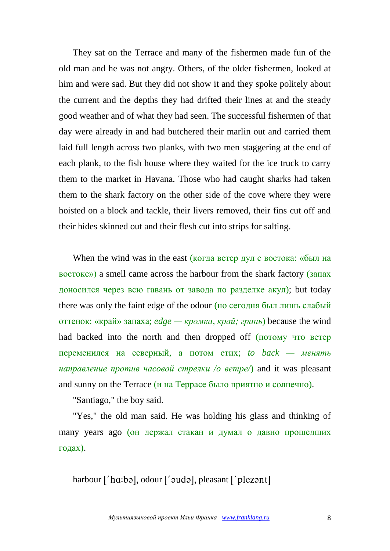They sat on the Terrace and many of the fishermen made fun of the old man and he was not angry. Others, of the older fishermen, looked at him and were sad. But they did not show it and they spoke politely about the current and the depths they had drifted their lines at and the steady good weather and of what they had seen. The successful fishermen of that day were already in and had butchered their marlin out and carried them laid full length across two planks, with two men staggering at the end of each plank, to the fish house where they waited for the ice truck to carry them to the market in Havana. Those who had caught sharks had taken them to the shark factory on the other side of the cove where they were hoisted on a block and tackle, their livers removed, their fins cut off and their hides skinned out and their flesh cut into strips for salting.

When the wind was in the east (когда ветер дул с востока: «был на востоке») a smell came across the harbour from the shark factory (запах доносился через всю гавань от завода по разделке акул); but today there was only the faint edge of the odour (но сегодня был лишь слабый оттенок: «край» запаха; *edge — кромка, край; грань*) because the wind had backed into the north and then dropped off (потому что ветер переменился на северный, а потом стих; *to back — менять направление против часовой стрелки /о ветре/*) and it was pleasant and sunny on the Terrace (и на Террасе было приятно и солнечно).

"Santiago," the boy said.

"Yes," the old man said. He was holding his glass and thinking of many years ago (он держал стакан и думал о давно прошедших годах).

harbour ['hɑ:bə], odour ['əudə], pleasant ['plezənt]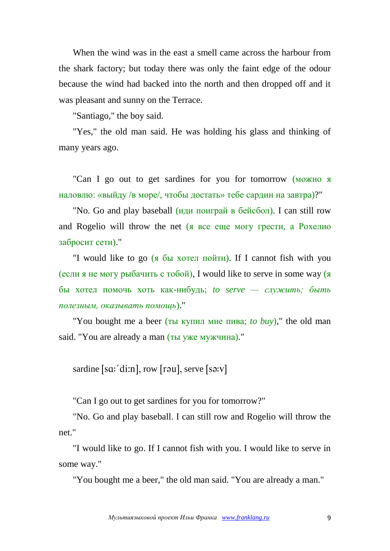When the wind was in the east a smell came across the harbour from the shark factory; but today there was only the faint edge of the odour because the wind had backed into the north and then dropped off and it was pleasant and sunny on the Terrace.

"Santiago," the boy said.

"Yes," the old man said. He was holding his glass and thinking of many years ago.

"Can I go out to get sardines for you for tomorrow (можно я наловлю: «выйду /в море/, чтобы достать» тебе сардин на завтра)?"

"No. Go and play baseball (иди поиграй в бейсбол). I can still row and Rogelio will throw the net (я все еще могу грести, а Рохелио забросит сети)."

"I would like to go (я бы хотел пойти). If I cannot fish with you (если я не могу рыбачить с тобой), I would like to serve in some way  $\left($ я бы хотел помочь хоть как-нибудь; *to serve — служить; быть полезным, оказывать помощь*)."

"You bought me a beer (ты купил мне пива; *to buy*)," the old man said. "You are already a man (ты уже мужчина)."

sardine [sq: $'di:n$ ], row [rau], serve [sa:v]

"Can I go out to get sardines for you for tomorrow?"

"No. Go and play baseball. I can still row and Rogelio will throw the net."

"I would like to go. If I cannot fish with you. I would like to serve in some way."

"You bought me a beer," the old man said. "You are already a man."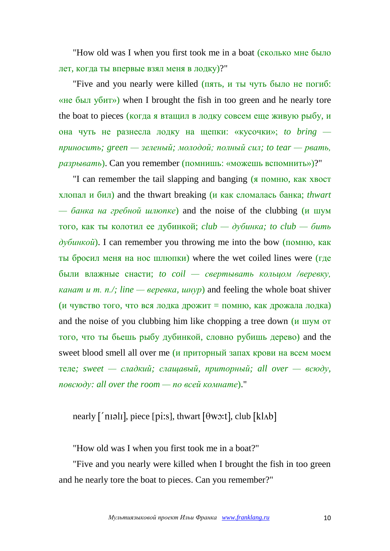"How old was I when you first took me in a boat (сколько мне было лет, когда ты впервые взял меня в лодку)?"

"Five and you nearly were killed (пять, и ты чуть было не погиб: «не был убит») when I brought the fish in too green and he nearly tore the boat to pieces (когда я втащил в лодку совсем еще живую рыбу, и она чуть не разнесла лодку на щепки: «кусочки»; *to bring приносить; green — зеленый; молодой; полный сил; to tear — рвать, разрывать*). Can you remember (помнишь: «можешь вспомнить»)?"

"I can remember the tail slapping and banging (я помню, как хвост хлопал и бил) and the thwart breaking (и как сломалась банка; *thwart — банка на гребной шлюпке*) and the noise of the clubbing (и шум того, как ты колотил ее дубинкой; *club — дубинка; to club — бить дубинкой*). I can remember you throwing me into the bow (помню, как ты бросил меня на нос шлюпки) where the wet coiled lines were (где были влажные снасти; *to coil — свертывать кольцом /веревку, канат и т. п./; line — веревка, шнур*) and feeling the whole boat shiver (и чувство того, что вся лодка дрожит = помню, как дрожала лодка) and the noise of you clubbing him like chopping a tree down (и шум от того, что ты бьешь рыбу дубинкой, словно рубишь дерево) and the sweet blood smell all over me (и приторный запах крови на всем моем теле*; sweet — сладкий; слащавый, приторный; all over — всюду, повсюду: all over the room — по всей комнате*)."

## nearly  $\lceil \nmid$  nialil, piece [pi:s], thwart  $\lceil \theta w \cdot z \cdot t \rceil$ , club  $\lceil k \rceil \cdot \lceil k \cdot z \rceil$

"How old was I when you first took me in a boat?"

"Five and you nearly were killed when I brought the fish in too green and he nearly tore the boat to pieces. Can you remember?"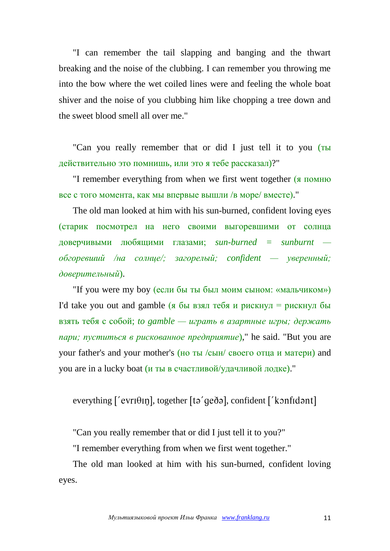"I can remember the tail slapping and banging and the thwart breaking and the noise of the clubbing. I can remember you throwing me into the bow where the wet coiled lines were and feeling the whole boat shiver and the noise of you clubbing him like chopping a tree down and the sweet blood smell all over me."

"Can you really remember that or did I just tell it to you (ты действительно это помнишь, или это я тебе рассказал)?"

"I remember everything from when we first went together (я помню все с того момента, как мы впервые вышли /в море/ вместе)."

The old man looked at him with his sun-burned, confident loving eyes (старик посмотрел на него своими выгоревшими от солнца доверчивыми любящими глазами; *sun-burned = sunburnt обгоревший /на солнце/; загорелый; confident — уверенный; доверительный*).

"If you were my boy (если бы ты был моим сыном: «мальчиком») I'd take you out and gamble (я бы взял тебя и рискнул = рискнул бы взять тебя с собой; *to gamble — играть в азартные игры; держать пари; пуститься в рискованное предприятие*)," he said. "But you are your father's and your mother's (но ты /сын/ своего отца и матери) and you are in a lucky boat (и ты в счастливой/удачливой лодке)."

everything  $['evr101n]$ , together  $[t000]$ , confident  $['konf11]$ 

"Can you really remember that or did I just tell it to you?"

"I remember everything from when we first went together."

The old man looked at him with his sun-burned, confident loving eyes.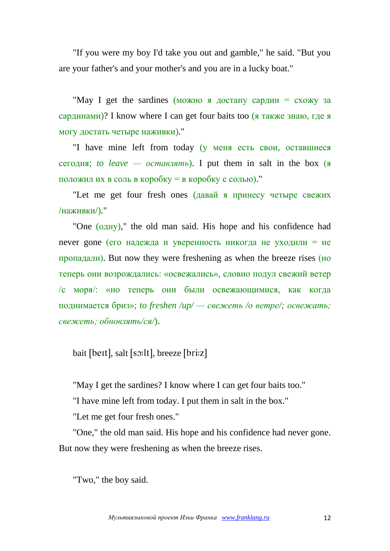"If you were my boy I'd take you out and gamble," he said. "But you are your father's and your mother's and you are in a lucky boat."

"May I get the sardines (можно я достану сардин = схожу за сардинами)? I know where I can get four baits too (я также знаю, где я могу достать четыре наживки)."

"I have mine left from today (у меня есть свои, оставшиеся сегодня; *to leave — оставлять*). I put them in salt in the box (я положил их в соль в коробку = в коробку с солью)."

"Let me get four fresh ones (давай я принесу четыре свежих /наживки/)."

"One (одну)," the old man said. His hope and his confidence had never gone (его надежда и уверенность никогда не уходили = не пропадали). But now they were freshening as when the breeze rises (но теперь они возрождались: «освежались», словно подул свежий ветер /с моря/: «но теперь они были освежающимися, как когда поднимается бриз»; *to freshen /up/ — свежеть /о ветре/; освежать; свежеть; обновлять/ся/*).

bait [beɪt], salt [sɔ:lt], breeze [bri:z]

"May I get the sardines? I know where I can get four baits too."

"I have mine left from today. I put them in salt in the box."

"Let me get four fresh ones."

"One," the old man said. His hope and his confidence had never gone. But now they were freshening as when the breeze rises.

"Two," the boy said.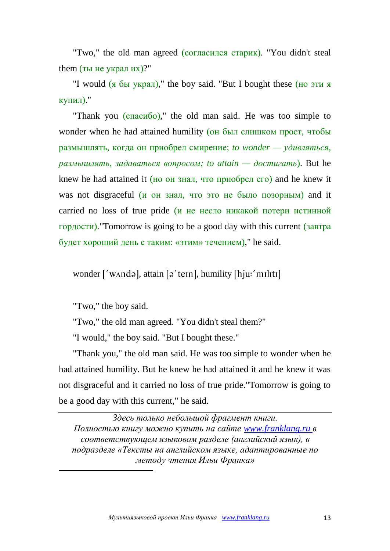"Two," the old man agreed (согласился старик). "You didn't steal them (ты не украл  $ux$ )?"

"I would (я бы украл)," the boy said. "But I bought these (но эти я купил)."

"Thank you (спасибо)," the old man said. He was too simple to wonder when he had attained humility (он был слишком прост, чтобы размышлять, когда он приобрел смирение; *to wonder — удивляться, размышлять, задаваться вопросом; to attain — достигать*). But he knew he had attained it (но он знал, что приобрел его) and he knew it was not disgraceful (и он знал, что это не было позорным) and it carried no loss of true pride (и не несло никакой потери истинной гордости)."Tomorrow is going to be a good day with this current (завтра будет хороший день с таким: «этим» течением)," he said.

wonder ['wʌndə], attain [ə'teɪn], humility [hju:'mɪlɪtɪ]

"Two," the boy said.

 $\overline{a}$ 

"Two," the old man agreed. "You didn't steal them?"

"I would," the boy said. "But I bought these."

"Thank you," the old man said. He was too simple to wonder when he had attained humility. But he knew he had attained it and he knew it was not disgraceful and it carried no loss of true pride."Tomorrow is going to be a good day with this current," he said.

*Здесь только небольшой фрагмент книги. Полностью книгу можно купить на сайте www.franklang.ru в соответствующем языковом разделе (английский язык), в подразделе «Тексты на английском языке, адаптированные по методу чтения Ильи Франка»*